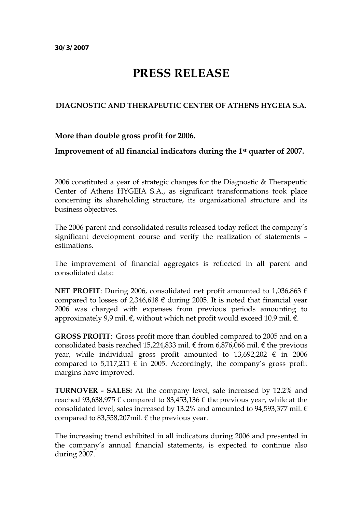## **PRESS RELEASE**

## **DIAGNOSTIC AND THERAPEUTIC CENTER OF ATHENS HYGEIA S.A.**

## **More than double gross profit for 2006.**

## **Improvement of all financial indicators during the 1st quarter of 2007.**

2006 constituted a year of strategic changes for the Diagnostic & Therapeutic Center of Athens HYGEIA S.A., as significant transformations took place concerning its shareholding structure, its organizational structure and its business objectives.

The 2006 parent and consolidated results released today reflect the company's significant development course and verify the realization of statements – estimations.

The improvement of financial aggregates is reflected in all parent and consolidated data:

**NET PROFIT**: During 2006, consolidated net profit amounted to 1,036,863 € compared to losses of 2,346,618  $\epsilon$  during 2005. It is noted that financial year 2006 was charged with expenses from previous periods amounting to approximately 9,9 mil.  $\varepsilon$ , without which net profit would exceed 10.9 mil.  $\varepsilon$ .

**GROSS PROFIT**: Gross profit more than doubled compared to 2005 and on a consolidated basis reached 15,224,833 mil.  $\epsilon$  from 6,876,066 mil.  $\epsilon$  the previous year, while individual gross profit amounted to  $13,692,202 \text{ } \in \text{ } 2006$ compared to 5,117,211  $\epsilon$  in 2005. Accordingly, the company's gross profit margins have improved.

**TURNOVER - SALES:** At the company level, sale increased by 12.2% and reached 93,638,975  $\epsilon$  compared to 83,453,136  $\epsilon$  the previous year, while at the consolidated level, sales increased by 13.2% and amounted to 94,593,377 mil.  $\epsilon$ compared to 83,558,207mil.  $\epsilon$  the previous year.

The increasing trend exhibited in all indicators during 2006 and presented in the company's annual financial statements, is expected to continue also during 2007.